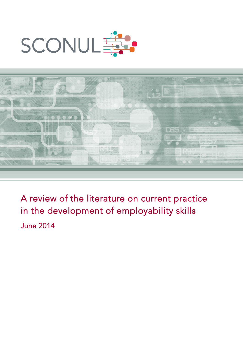



A review of the literature on current practice in the development of employability skills

June 2014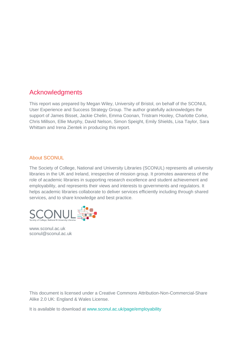# Acknowledgments

This report was prepared by Megan Wiley, University of Bristol, on behalf of the SCONUL User Experience and Success Strategy Group. The author gratefully acknowledges the support of James Bisset, Jackie Chelin, Emma Coonan, Tristram Hooley, Charlotte Corke, Chris Millson, Ellie Murphy, David Nelson, Simon Speight, Emily Shields, Lisa Taylor, Sara Whittam and Irena Zientek in producing this report.

#### About SCONUL

The Society of College, National and University Libraries (SCONUL) represents all university libraries in the UK and Ireland, irrespective of mission group. It promotes awareness of the role of academic libraries in supporting research excellence and student achievement and employability, and represents their views and interests to governments and regulators. It helps academic libraries collaborate to deliver services efficiently including through shared services, and to share knowledge and best practice.



www.sconul.ac.uk sconul@sconul.ac.uk

This document is licensed under a Creative Commons Attribution-Non-Commercial-Share Alike 2.0 UK: England & Wales License.

It is available to download at [www.sconul.ac.uk/page/employability](http://www.sconul.ac.uk/page/employability)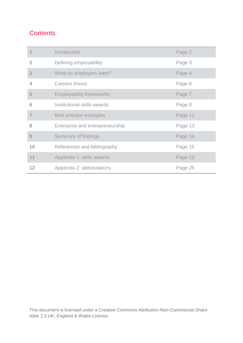# **Contents**

|                | Introduction                    | Page 2  |
|----------------|---------------------------------|---------|
| $\overline{2}$ | Defining employability          | Page 3  |
| 3              | What do employers want?         | Page 4  |
| 4              | Careers theory                  | Page 6  |
| 5              | <b>Employability frameworks</b> | Page 7  |
| 6              | Institutional skills awards     | Page 8  |
| 7              | Best practice examples          | Page 11 |
| 8              | Enterprise and entrepreneurship | Page 13 |
| 9              | Summary of findings             | Page 14 |
| 10             | References and bibliography     | Page 15 |
| 11             | Appendix 1: skills awards       | Page 23 |
| 12             | Appendix 2: abbreviations       | Page 25 |

This document is licensed under a Creative Commons Attribution-Non-Commercial-Share Alike 2.0 UK: England & Wales License.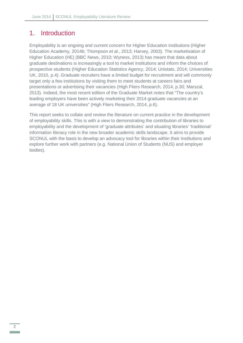### <span id="page-3-0"></span>1. Introduction

Employability is an ongoing and current concern for Higher Education institutions (Higher Education Academy, 2014b; Thompson *et al*., 2013; Harvey, 2003). The marketisation of Higher Education (HE) (BBC News, 2010; Wyness, 2013) has meant that data about graduate destinations is increasingly a tool to market institutions and inform the choices of prospective students (Higher Education Statistics Agency, 2014; Unistats, 2014; Universities UK, 2010, p.4). Graduate recruiters have a limited budget for recruitment and will commonly target only a few institutions by visiting them to meet students at careers fairs and presentations or advertising their vacancies (High Fliers Research, 2014, p.30; Marszal, 2013). Indeed, the most recent edition of the Graduate Market notes that "The country's leading employers have been actively marketing their 2014 graduate vacancies at an average of 18 UK universities" (High Fliers Research, 2014, p.6).

This report seeks to collate and review the literature on current practice in the development of employability skills. This is with a view to demonstrating the contribution of libraries to employability and the development of 'graduate attributes' and situating libraries' 'traditional' information literacy role in the new broader academic skills landscape. It aims to provide SCONUL with the basis to develop an advocacy tool for libraries within their institutions and explore further work with partners (e.g. National Union of Students (NUS) and employer bodies).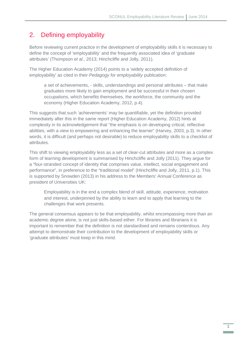# <span id="page-4-0"></span>2. Defining employability

Before reviewing current practice in the development of employability skills it is necessary to define the concept of 'employability' and the frequently associated idea of 'graduate attributes' (Thompson *et al*., 2013; Hinchcliffe and Jolly, 2011).

The Higher Education Academy (2014) points to a 'widely accepted definition of employability' as cited in their *Pedagogy for employability* publication:

a set of achievements, - skills, understandings and personal attributes – that make graduates more likely to gain employment and be successful in their chosen occupations, which benefits themselves, the workforce, the community and the economy (Higher Education Academy, 2012, p.4).

This suggests that such 'achievements' may be quantifiable, yet the definition provided immediately after this in the same report (Higher Education Academy, 2012) hints at complexity in its acknowledgement that "the emphasis is on developing critical, reflective abilities, with a view to empowering and enhancing the learner" (Harvey, 2003, p.3). In other words, it is difficult (and perhaps not desirable) to reduce employability skills to a checklist of attributes.

This shift to viewing employability less as a set of clear-cut attributes and more as a complex form of learning development is summarised by Hinchcliffe and Jolly (2011). They argue for a "four-stranded concept of identity that comprises value, intellect, social engagement and performance", in preference to the "traditional model" (Hinchcliffe and Jolly, 2011, p.1). This is supported by Snowden (2013) in his address to the Members' Annual Conference as president of Universities UK:

Employability is in the end a complex blend of skill, attitude, experience, motivation and interest, underpinned by the ability to learn and to apply that learning to the challenges that work presents.

The general consensus appears to be that employability, whilst encompassing more than an academic degree alone, is not just skills-based either. For libraries and librarians it is important to remember that the definition is not standardised and remains contentious. Any attempt to demonstrate their contribution to the development of employability skills or 'graduate attributes' must keep in this mind.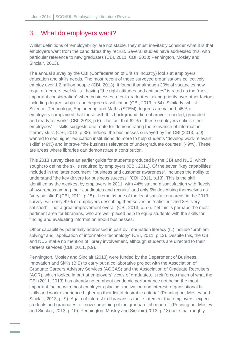### <span id="page-5-0"></span>3. What do employers want?

Whilst definitions of 'employability' are not stable, they must inevitably consider what it is that employers want from the candidates they recruit. Several studies have addressed this, with particular reference to new graduates (CBI, 2011; CBI, 2013; Pennington, Mosley and Sinclair, 2013).

The annual survey by the CBI (Confederation of British Industry) looks at employers' education and skills needs. The most recent of these surveyed organisations collectively employ over 1.2 million people (CBI, 2013). It found that although 30% of vacancies now require "degree-level skills", having "the right attitudes and aptitudes" is rated as the "most important consideration" when businesses recruit graduates, taking priority over other factors including degree subject and degree classification (CBI, 2013, p.54). Similarly, whilst Science, Technology, Engineering and Maths (STEM) degrees are valued, 45% of employers complained that those with this background did not arrive "rounded, grounded and ready for work" (CBI, 2013, p.6). The fact that 62% of these employers criticise their employees' IT skills suggests one route for demonstrating the relevance of information literacy skills (CBI, 2013, p.38). Indeed, the businesses surveyed by the CBI (2013, p.9) wanted to see higher education institutions do more to help students "develop work-relevant skills" (49%) and improve "the business relevance of undergraduate courses" (49%). These are areas where libraries can demonstrate a contribution.

This 2013 survey cites an earlier guide for students produced by the CBI and NUS, which sought to define the skills required by employers (CBI, 2011). Of the seven "key capabilities" included in the latter document, "business and customer awareness", includes the ability to understand "the key drivers for business success" (CBI, 2011, p.13). This is the skill identified as the weakest by employers in 2011, with 44% stating dissatisfaction with "levels of awareness among their candidates and recruits" and only 5% describing themselves as "very satisfied" (CBI, 2011, p.15). It remains one of the least satisfactory areas in the 2013 survey, with only 49% of employers describing themselves as "satisfied" and 3% "very satisfied" – not a great improvement overall (CBI, 2013, p.57). Yet this is perhaps the most pertinent area for librarians, who are well-placed help to equip students with the skills for finding and evaluating information about businesses.

Other capabilities potentially addressed in part by information literacy (IL) include "problem solving" and "application of information technology" (CBI, 2011, p.13). Despite this, the CBI and NUS make no mention of library involvement, although students are directed to their careers services (CBI, 2011, p.9).

Pennington, Mosley and Sinclair (2013) were funded by the Department of Business, Innovation and Skills (BIS) to carry out a collaborative project with the Association of Graduate Careers Advisory Services (AGCAS) and the Association of Graduate Recruiters (AGR), which looked in part at employers' views of graduates. It reinforces much of what the CBI (2011, 2013) has already noted about academic performance not being the most important factor, with most employers placing "motivation and interest, organisational fit, skills and work experience higher up their list of desirable criteria" (Pennington, Mosley and Sinclair, 2013, p. 9). Again of interest to librarians is their statement that employers "expect students and graduates to know something of the graduate job market" (Pennington, Mosley and Sinclair, 2013, p.10). Pennington, Mosley and Sinclair (2013, p.13) note that roughly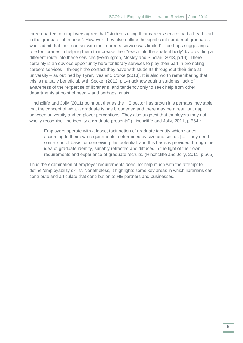three-quarters of employers agree that "students using their careers service had a head start in the graduate job market". However, they also outline the significant number of graduates who "admit that their contact with their careers service was limited" – perhaps suggesting a role for libraries in helping them to increase their "reach into the student body" by providing a different route into these services (Pennington, Mosley and Sinclair, 2013, p.14). There certainly is an obvious opportunity here for library services to play their part in promoting careers services – through the contact they have with students throughout their time at university – as outlined by Tyrer, Ives and Corke (2013). It is also worth remembering that this is mutually beneficial, with Secker (2012, p.14) acknowledging students' lack of awareness of the "expertise of librarians" and tendency only to seek help from other departments at point of need – and perhaps, crisis.

Hinchcliffe and Jolly (2011) point out that as the HE sector has grown it is perhaps inevitable that the concept of what a graduate is has broadened and there may be a resultant gap between university and employer perceptions. They also suggest that employers may not wholly recognise "the identity a graduate presents" (Hinchcliffe and Jolly, 2011, p.564):

Employers operate with a loose, tacit notion of graduate identity which varies according to their own requirements, determined by size and sector. [...] They need some kind of basis for conceiving this potential, and this basis is provided through the idea of graduate identity, suitably refracted and diffused in the light of their own requirements and experience of graduate recruits. (Hinchcliffe and Jolly, 2011, p.565)

Thus the examination of employer requirements does not help much with the attempt to define 'employability skills'. Nonetheless, it highlights some key areas in which librarians can contribute and articulate that contribution to HE partners and businesses.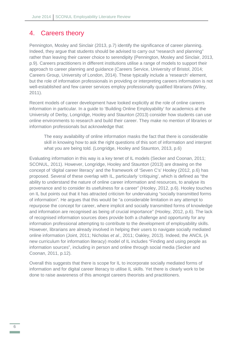#### <span id="page-7-0"></span>4. Careers theory

Pennington, Mosley and Sinclair (2013, p.7) identify the significance of career planning. Indeed, they argue that students should be advised to carry out "research and planning" rather than leaving their career choice to serendipity (Pennington, Mosley and Sinclair, 2013, p.9). Careers practitioners in different institutions utilise a range of models to support their approach to career planning and guidance (Careers Service, University of Bristol, 2014; Careers Group, University of London, 2014). These typically include a 'research' element, but the role of information professionals in providing or interpreting careers information is not well-established and few career services employ professionally qualified librarians (Wiley, 2011).

Recent models of career development have looked explicitly at the role of online careers information in particular. In a guide to 'Building Online Employability' for academics at the University of Derby, Longridge, Hooley and Staunton (2013) consider how students can use online environments to research and build their career. They make no mention of libraries or information professionals but acknowledge that:

The easy availability of online information masks the fact that there is considerable skill in knowing how to ask the right questions of this sort of information and interpret what you are being told. (Longridge, Hooley and Staunton, 2013, p.6)

Evaluating information in this way is a key tenet of IL models (Secker and Coonan, 2011; SCONUL, 2011). However, Longridge, Hooley and Staunton (2013) are drawing on the concept of 'digital career literacy' and the framework of 'Seven C's' Hooley (2012, p.6) has proposed. Several of these overlap with IL, particularly 'critiquing', which is defined as "the ability to understand the nature of online career information and resources, to analyse its provenance and to consider its usefulness for a career" (Hooley, 2012, p.6). Hooley touches on IL but points out that it has attracted criticism for undervaluing "socially transmitted forms of information". He argues that this would be "a considerable limitation in any attempt to repurpose the concept for career, where implicit and socially transmitted forms of knowledge and information are recognised as being of crucial importance" (Hooley, 2012, p.6). The lack of recognised information sources does provide both a challenge and opportunity for any information professional attempting to contribute to the development of employability skills. However, librarians are already involved in helping their users to navigate socially mediated online information (Joint, 2011; Nicholas *et al*., 2011; Oakley, 2013). Indeed, the ANCIL (A new curriculum for information literacy) model of IL includes "Finding and using people as information sources", including in person and online through social media (Secker and Coonan, 2011, p.12).

Overall this suggests that there is scope for IL to incorporate socially mediated forms of information and for digital career literacy to utilise IL skills. Yet there is clearly work to be done to raise awareness of this amongst careers theorists and practitioners.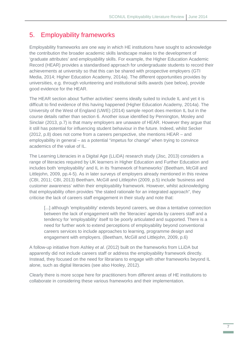# <span id="page-8-0"></span>5. Employability frameworks

Employability frameworks are one way in which HE institutions have sought to acknowledge the contribution the broader academic skills landscape makes to the development of 'graduate attributes' and employability skills. For example, the Higher Education Academic Record (HEAR) provides a standardised approach for undergraduate students to record their achievements at university so that this can be shared with prospective employers (GTI Media, 2014; Higher Education Academy, 2014a). The different opportunities provides by universities, e.g. through volunteering and institutional skills awards (see below), provide good evidence for the HEAR.

The HEAR section about 'further activities' seems ideally suited to include IL and yet it is difficult to find evidence of this having happened (Higher Education Academy, 2014a). The University of the West of England (UWE) (2014) sample report does mention IL but in the course details rather than section 6. Another issue identified by Pennington, Mosley and Sinclair (2013, p.7) is that many employers are unaware of HEAR. However they argue that it still has potential for influencing student behaviour in the future. Indeed, whilst Secker (2012, p.8) does not come from a careers perspective, she mentions HEAR – and employability in general – as a potential "impetus for change" when trying to convince academics of the value of IL.

The Learning Literacies in a Digital Age (LLiDA) research study (Jisc, 2013) considers a range of literacies required by UK learners in Higher Education and Further Education and includes both 'employability' and IL in its 'framework of frameworks' (Beetham, McGill and Littlejohn, 2009, pp.4-5). As in later surveys of employers already mentioned in this review (CBI, 2011; CBI, 2013) Beetham, McGill and Littlejohn (2009, p.5) include 'business and customer awareness' within their employability framework. However, whilst acknowledging that employability often provides "the stated rationale for an integrated approach", they criticise the lack of careers staff engagement in their study and note that:

[...] although 'employability' extends beyond careers, we draw a tentative connection between the lack of engagement with the 'literacies' agenda by careers staff and a tendency for 'employability' itself to be poorly articulated and supported. There is a need for further work to extend perceptions of employability beyond conventional careers services to include approaches to learning, programme design and engagement with employers. (Beetham, McGill and Littlejohn, 2009, p.6)

A follow-up initiative from Ashley *et al*. (2012) built on the frameworks from LLiDA but apparently did not include careers staff or address the employability framework directly. Instead, they focused on the need for librarians to engage with other frameworks beyond IL alone, such as digital literacies (see also Hooley, 2012).

Clearly there is more scope here for practitioners from different areas of HE institutions to collaborate in considering these various frameworks and their implementation.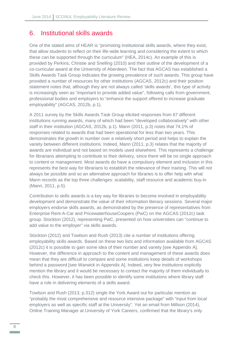#### <span id="page-9-0"></span>6. Institutional skills awards

One of the stated aims of HEAR is "promoting institutional skills awards, where they exist, that allow students to reflect on their life-wide learning and considering the extent to which these can be supported through the curriculum" (HEA, 2014c). An example of this is provided by Perkins, Christie and Snelling (2010) and their outline of the development of a co-curricular award at the University of Aberdeen. The fact that AGCAS has established a Skills Awards Task Group indicates the growing prevalence of such awards. This group have provided a number of resources for other institutions (AGCAS, 2012c) and their position statement notes that, although they are not always called 'skills awards', this type of activity is increasingly seen as "important to provide added value", following calls from government, professional bodies and employers to "enhance the support offered to increase graduate employability" (AGCAS, 2012b, p.1).

A 2011 survey by the Skills Awards Task Group elicited responses from 67 different institutions running awards, many of which had been "developed collaboratively" with other staff in their institution (AGCAS, 2012b, p.1). Mann (2011, p.3) notes that 74.1% of responses related to awards that had been operational for less than two years. This demonstrates the growth in number over a relatively short period and helps to explain the variety between different institutions. Indeed, Mann (2011, p.3) relates that the majority of awards are individual and not based on models used elsewhere. This represents a challenge for librarians attempting to contribute to their delivery, since there will be no single approach to content or management. Most awards do have a compulsory element and inclusion in this represents the best way for librarians to establish the relevance of their training. This will not always be possible and so an alternative approach for libraries is to offer help with what Mann records as the top three challenges: scalability, staff resource and academic buy-in (Mann, 2011, p.5).

Contribution to skills awards is a key way for libraries to become involved in employability development and demonstrate the value of their information literacy sessions. Several major employers endorse skills awards, as demonstrated by the presence of representatives from Enterprise Rent-A-Car and PricewaterhouseCoopers (PwC) on the AGCAS (2012c) task group. Stockton (2012), representing PwC, presented on how universities can "continue to add value to the employer" via skills awards.

Stockton (2012) and Towlson and Rush (2013) cite a number of institutions offering employability skills awards. Based on these two lists and information available from AGCAS (2012c) it is possible to gain some idea of their number and variety [see Appendix A]. However, the difference in approach to the content and management of these awards does mean that they are difficult to compare and some institutions keep details of workshops behind a password [see Warwick in Appendix A]. Indeed, very few institutions explicitly mention the library and it would be necessary to contact the majority of them individually to check this. However, it has been possible to identify some institutions where library staff have a role in delivering elements of a skills award.

Towlson and Rush (2013, p.312) single the York Award out for particular mention as "probably the most comprehensive and resource intensive package" with "input from local employers as well as specific staff at the University". Yet an email from Millson (2014), Online Training Manager at University of York Careers, confirmed that the library's only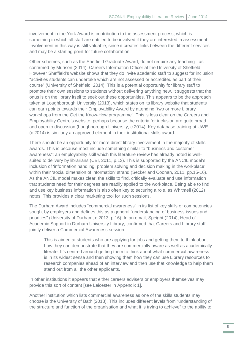involvement in the York Award is contribution to the assessment process, which is something in which all staff are entitled to be involved if they are interested in assessment. Involvement in this way is still valuable, since it creates links between the different services and may be a starting point for future collaboration.

Other schemes, such as the Sheffield Graduate Award, do not require any teaching - as confirmed by Murison (2014), Careers Information Officer at the University of Sheffield. However Sheffield's website shows that they do invite academic staff to suggest for inclusion "activities students can undertake which are not assessed or accredited as part of their course" (University of Sheffield, 2014). This is a potential opportunity for library staff to promote their own sessions to students without delivering anything new. It suggests that the onus is on the library itself to seek out these opportunities. This appears to be the approach taken at Loughborough University (2013), which states on its library website that students can earn points towards their Employability Award by attending "two or more Library workshops from the Get the Know-How programme". This is less clear on the Careers and Employability Centre's website, perhaps because the criteria for inclusion are quite broad and open to discussion (Loughborough University, c.2014). Key database training at UWE (c.2014) is similarly an approved element in their institutional skills award.

There should be an opportunity for more direct library involvement in the majority of skills awards. This is because most include something similar to "business and customer awareness"; an employability skill which this literature review has already noted is wellsuited to delivery by librarians (CBI, 2011, p.13). This is supported by the ANCIL model's inclusion of 'information handling, problem solving and decision making in the workplace' within their 'social dimension of information' strand (Secker and Coonan, 2011. pp.15-16). As the ANCIL model makes clear, the skills to find, critically evaluate and use information that students need for their degrees are readily applied to the workplace. Being able to find and use key business information is also often key to securing a role, as Whitmell (2012) notes. This provides a clear marketing tool for such sessions.

The Durham Award includes "commercial awareness" in its list of key skills or competencies sought by employers and defines this as a general "understanding of business issues and priorities" (University of Durham, c.2013, p.16). In an email, Speight (2014), Head of Academic Support in Durham University Library, confirmed that Careers and Library staff jointly deliver a Commercial Awareness session:

This is aimed at students who are applying for jobs and getting them to think about how they can demonstrate that they are commercially aware as well as academically literate. It's centred around getting them to think about what commercial awareness is in its widest sense and then showing them how they can use Library resources to research companies ahead of an interview and then use that knowledge to help them stand out from all the other applicants.

In other institutions it appears that either careers advisers or employers themselves may provide this sort of content [see Leicester in Appendix 1].

Another institution which lists commercial awareness as one of the skills students may choose is the University of Bath (2013). This includes different levels from "understanding of the structure and function of the organisation and what it is trying to achieve" to the ability to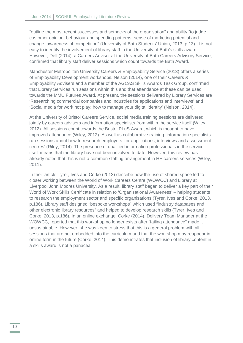"outline the most recent successes and setbacks of the organisation" and ability "to judge customer opinion, behaviour and spending patterns, sense of marketing potential and change, awareness of competition" (University of Bath Students' Union, 2013, p.13). It is not easy to identify the involvement of library staff in the University of Bath's skills award. However, Dell (2014), a Careers Adviser at the University of Bath Careers Advisory Service, confirmed that library staff deliver sessions which count towards the Bath Award.

Manchester Metropolitan University Careers & Employability Service (2013) offers a series of Employability Development workshops. Nelson (2014), one of their Careers & Employability Advisers and a member of the AGCAS Skills Awards Task Group, confirmed that Library Services run sessions within this and that attendance at these can be used towards the MMU Futures Award. At present, the sessions delivered by Library Services are 'Researching commercial companies and industries for applications and interviews' and 'Social media for work not play; how to manage your digital identity' (Nelson, 2014).

At the University of Bristol Careers Service, social media training sessions are delivered jointly by careers advisers and information specialists from within the service itself (Wiley, 2012). All sessions count towards the Bristol PLuS Award, which is thought to have improved attendance (Wiley, 2012). As well as collaborative training, information specialists run sessions about how to research employers 'for applications, interviews and assessment centres' (Riley, 2014). The presence of qualified information professionals in the service itself means that the library have not been involved to date. However, this review has already noted that this is not a common staffing arrangement in HE careers services (Wiley, 2011).

In their article Tyrer, Ives and Corke (2013) describe how the use of shared space led to closer working between the World of Work Careers Centre (WOWCC) and Library at Liverpool John Moores University. As a result, library staff began to deliver a key part of their World of Work Skills Certificate in relation to 'Organisational Awareness' – helping students to research the employment sector and specific organisations (Tyrer, Ives and Corke, 2013, p.186). Library staff designed "bespoke workshops" which used "industry databases and other electronic library resources" and helped to develop research skills (Tyrer, Ives and Corke, 2013, p.186). In an online exchange, Corke (2014), Delivery Team Manager at the WOWCC, reported that this workshop no longer exists after "failing attendance" made it unsustainable. However, she was keen to stress that this is a general problem with all sessions that are not embedded into the curriculum and that the workshop may reappear in online form in the future (Corke, 2014). This demonstrates that inclusion of library content in a skills award is not a panacea.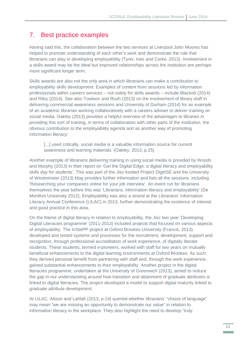# <span id="page-12-0"></span>7. Best practice examples

Having said this, the collaboration between the two services at Liverpool John Moores has helped to promote understanding of each other's work and demonstrate the role that librarians can play in developing employability (Tyrer, Ives and Corke, 2013). Involvement in a skills award may be the ideal but improved relationships across the institution are perhaps more significant longer term.

Skills awards are also not the only area in which librarians can make a contribution to employability skills development. Examples of content from sessions led by information professionals within careers services – not solely for skills awards – include Blackett (2014) and Riley (2014). See also Towlson and Rush (2013) on the involvement of library staff in delivering commercial awareness sessions and University of Durham (2014) for an example of an academic librarian working collaboratively with a careers adviser to deliver training on social media. Oakley (2013) provides a helpful overview of the advantages to libraries in providing this sort of training, in terms of collaboration with other parts of the institution, the obvious contribution to the employability agenda and as another way of promoting information literacy:

[...] used critically, social media is a valuable information source for current awareness and learning materials. (Oakley, 2013, p.25)

Another example of librarians delivering training in using social media is provided by Woods and Murphy (2013) in their report on 'Get the Digital Edge: a digital literacy and employability skills day for students'. This was part of the Jisc-funded Project DigitISE and the University of Westminster (2013) blog provides further information and lists all the sessions, including 'Researching your companies online for your job interview'. An event run for librarians themselves the year before this was 'Librarians, information literacy and employability' (De Montfort University 2012). Employability was also a strand at the Librarians' Information Literacy Annual Conference (LILAC) in 2013, further demonstrating the existence of interest and good practice in this area.

On the theme of digital literacy in relation to employability, the Jisc two year 'Developing Digital Literacies programme' (2011-2013) included projects that focused on various aspects of employability. The InStePP project at Oxford Brookes University (Francis, 2013) developed and tested systems and processes for the recruitment, development, support and recognition, through professional accreditation of work experience, of digitally literate students. These students, termed e-pioneers, worked with staff for two years on mutually beneficial enhancements to the digital learning environments at Oxford Brookes. As such, they derived personal benefit from partnering with staff and, through the work experience, gained substantial enhancements to their employability. Another project in the digital literacies programme, undertaken at the University of Greenwich (2013), aimed to reduce the gap in our understanding around how transition and attainment of graduate attributes is linked to digital literacies. The project developed a model to support digital maturity linked to graduate attribute development.

At LILAC, Abson and Lahlafi (2013, p.14) queried whether librarians' "choice of language" may mean "we are missing an opportunity to demonstrate our value" in relation to information literacy in the workplace. They also highlight the need to develop "truly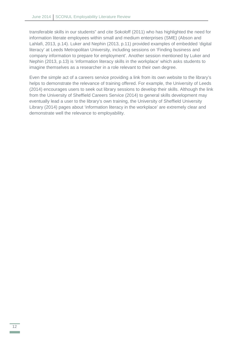transferable skills in our students" and cite Sokoloff (2011) who has highlighted the need for information literate employees within small and medium enterprises (SME) (Abson and Lahlafi, 2013, p.14). Luker and Nephin (2013, p.11) provided examples of embedded 'digital literacy' at Leeds Metropolitan University, including sessions on 'Finding business and company information to prepare for employment'. Another session mentioned by Luker and Nephin (2013, p.13) is 'information literacy skills in the workplace' which asks students to imagine themselves as a researcher in a role relevant to their own degree.

Even the simple act of a careers service providing a link from its own website to the library's helps to demonstrate the relevance of training offered. For example, the University of Leeds (2014) encourages users to seek out library sessions to develop their skills. Although the link from the University of Sheffield Careers Service (2014) to general skills development may eventually lead a user to the library's own training, the University of Sheffield University Library (2014) pages about 'information literacy in the workplace' are extremely clear and demonstrate well the relevance to employability.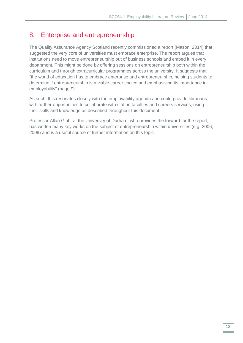### <span id="page-14-0"></span>8. Enterprise and entrepreneurship

The Quality Assurance Agency Scotland recently commissioned a report (Mason, 2014) that suggested the very core of universities must embrace enterprise. The report argues that institutions need to move entrepreneurship out of business schools and embed it in every department. This might be done by offering sessions on entrepreneurship both within the curriculum and through extracurricular programmes across the university. It suggests that "the world of education has to embrace enterprise and entrepreneurship, helping students to determine if entrepreneurship is a viable career choice and emphasising its importance in employability" (page 9).

As such, this resonates closely with the employability agenda and could provide librarians with further opportunities to collaborate with staff in faculties and careers services, using their skills and knowledge as described throughout this document.

Professor Allan Gibb, at the University of Durham, who provides the forward for the report, has written many key works on the subject of entrepreneurship within universities (e.g. 2006, 2009) and is a useful source of further information on this topic.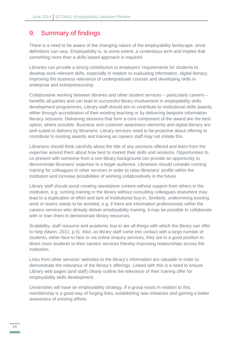### <span id="page-15-0"></span>9. Summary of findings

There is a need to be aware of the changing nature of the employability landscape, since definitions can vary. Employability is, to some extent, a contentious term and implies that something more than a skills based approach is required.

Libraries can provide a strong contribution to employers' requirements for students to develop work-relevant skills, especially in relation to evaluating information, digital literacy, improving the business relevance of undergraduate courses and developing skills in enterprise and entrepreneurship.

Collaborative working between libraries and other student services – particularly careers – benefits all parties and can lead to successful library involvement in employability skills development programmes. Library staff should aim to contribute to institutional skills awards, either through accreditation of their existing teaching or by delivering bespoke information literacy sessions. Delivering sessions that form a core component of the award are the best option, where possible. Business and customer awareness elements and digital literacy are well suited to delivery by librarians. Library services need to be proactive about offering to contribute to existing awards and training as careers staff may not initiate this.

Librarians should think carefully about the title of any sessions offered and learn from the expertise around them about how best to market their skills and sessions. Opportunities to co-present with someone from a non-library background can provide an opportunity to demonstrate librarians' expertise to a larger audience. Librarians should consider running training for colleagues in other services in order to raise librarians' profile within the institution and increase possibilities of working collaboratively in the future.

Library staff should avoid creating standalone content without support from others in the institution, e.g. running training in the library without consulting colleagues elsewhere may lead to a duplication of effort and lack of institutional buy-in. Similarly, undermining existing work or teams needs to be avoided, e.g. if there are information professionals within the careers services who already deliver employability training, it may be possible to collaborate with or train them to demonstrate library resources.

Scalability, staff resource and academic buy-in are all things with which the library can offer to help (Mann, 2011, p.5). Also, as library staff come into contact with a large number of students, either face to face or via online enquiry services, they are in a good position to direct more students to their careers services thereby improving relationships across the institution.

Links from other services' websites to the library's information are valuable in order to demonstrate the relevance of the library's offerings. Linked with this is a need to ensure Library web pages (and staff) clearly outline the relevance of their training offer for employability skills development.

Universities will have an employability strategy. If a group exists in relation to this, membership is a good way of forging links, establishing new initiatives and gaining a better awareness of existing efforts.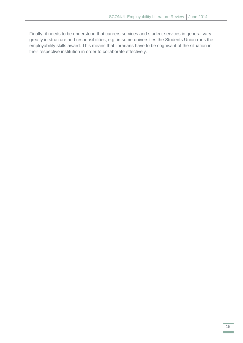Finally, it needs to be understood that careers services and student services in general vary greatly in structure and responsibilities, e.g. in some universities the Students Union runs the employability skills award. This means that librarians have to be cognisant of the situation in their respective institution in order to collaborate effectively.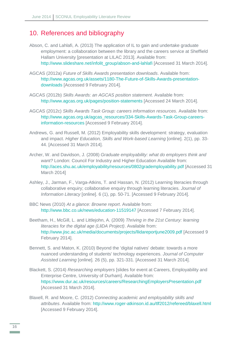### <span id="page-17-0"></span>10. References and bibliography

- Abson, C. and Lahlafi, A. (2013) The application of IL to gain and undertake graduate employment: a collaboration between the library and the careers service at Sheffield Hallam University [presentation at LILAC 2013]. Available from: [http://www.slideshare.net/infolit\\_group/abson-and-lahlafi](http://www.slideshare.net/infolit_group/abson-and-lahlafi) [Accessed 31 March 2014].
- AGCAS (2012a) *Future of Skills Awards presentation downloads*. Available from: [http://www.agcas.org.uk/assets/1180-The-Future-of-Skills-Awards-presentation](http://www.agcas.org.uk/assets/1180-The-Future-of-Skills-Awards-presentation-downloads)[downloads](http://www.agcas.org.uk/assets/1180-The-Future-of-Skills-Awards-presentation-downloads) [Accessed 9 February 2014].
- AGCAS (2012b) *Skills Awards: an AGCAS position statement*. Available from: <http://www.agcas.org.uk/pages/position-statements> [Accessed 24 March 2014].
- AGCAS (2012c) *Skills Awards Task Group: careers information resources*. Available from: [http://www.agcas.org.uk/agcas\\_resources/334-Skills-Awards-Task-Group-careers](http://www.agcas.org.uk/agcas_resources/334-Skills-Awards-Task-Group-careers-information-resources)[information-resources](http://www.agcas.org.uk/agcas_resources/334-Skills-Awards-Task-Group-careers-information-resources) [Accessed 9 February 2014].
- Andrews, G. and Russell, M. (2012) Employability skills development: strategy, evaluation and impact. *Higher Education, Skills and Work-based Learning* [online]. 2(1), pp. 33-44. [Accessed 31 March 2014].
- Archer, W. and Davidson, J. (2008) *Graduate employability: what do employers think and want?* London: Council For Industry and Higher Education Available from: <http://aces.shu.ac.uk/employability/resources/0802grademployability.pdf> [Accessed 31 March 2014]
- Ashley, J., Jarman, F., Varga-Atkins, T. and Hassan, N. (2012) Learning literacies through collaborative enquiry; collaborative enquiry through learning literacies. *Journal of Information Literacy* [online]. 6 (1), pp. 50-71. [Accessed 9 February 2014].
- BBC News (2010) *At a glance: Browne report*. Available from: <http://www.bbc.co.uk/news/education-11519147> [Accessed 7 February 2014].
- Beetham, H., McGill, L. and Littlejohn, A. (2009) *Thriving in the 21st Century: learning literacies for the digital age (LliDA Project)*. Available from: <http://www.jisc.ac.uk/media/documents/projects/llidareportjune2009.pdf> [Accessed 9 February 2014].
- Bennett, S. and Maton, K. (2010) Beyond the 'digital natives' debate: towards a more nuanced understanding of students' technology experiences. *Journal of Computer Assisted Learning* [online]*.* 26 (5), pp. 321-331. [Accessed 31 March 2014].
- Blackett, S. (2014) *Researching employers* [slides for event at Careers, Employability and Enterprise Centre, University of Durham]. Available from: <https://www.dur.ac.uk/resources/careers/ResearchingEmployersPresentation.pdf> [Accessed 31 March 2014].
- Blaxell, R. and Moore, C. (2012) *Connecting academic and employability skills and attributes*. Available from:<http://www.roger-atkinson.id.au/tlf2012/refereed/blaxell.html> [Accessed 9 February 2014].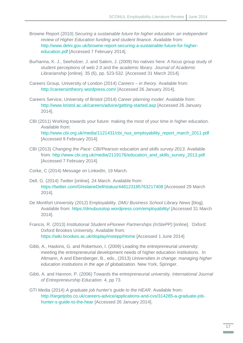- Browne Report (2010) *Securing a sustainable future for higher education: an independent review of Higher Education funding and student finance*. Available from: [http://www.delni.gov.uk/browne-report-securing-a-sustainable-future-for-higher](http://www.delni.gov.uk/browne-report-securing-a-sustainable-future-for-higher-education.pdf)[education.pdf](http://www.delni.gov.uk/browne-report-securing-a-sustainable-future-for-higher-education.pdf) [Accessed 7 February 2014].
- Burhanna, K. J., Seeholzer, J. and Salem, J. (2009) No natives here: A focus group study of student perceptions of web 2.0 and the academic library. *Journal of Academic Librarianship* [online]. 35 (6), pp. 523-532. [Accessed 31 March 2014].
- Careers Group, University of London (2014) *Careers – in theory*. Available from: <http://careersintheory.wordpress.com/> [Accessed 26 January 2014].
- Careers Service, University of Bristol (2014) *Career planning model*. Available from: <http://www.bristol.ac.uk/careers/advice/getting-started.asp> [Accessed 26 January 2014].
- CBI (2011) Working towards your future: making the most of your time in higher education. Available from: [http://www.cbi.org.uk/media/1121431/cbi\\_nus\\_employability\\_report\\_march\\_2011.pdf](http://www.cbi.org.uk/media/1121431/cbi_nus_employability_report_march_2011.pdf) [Accessed 9 February 2014].
- CBI (2013) *Changing the Pace: CBI/Pearson education and skills survey 2013.* Available from: [http://www.cbi.org.uk/media/2119176/education\\_and\\_skills\\_survey\\_2013.pdf](http://www.cbi.org.uk/media/2119176/education_and_skills_survey_2013.pdf) [Accessed 7 February 2014].
- Corke, C (2014) Message on LinkedIn, 19 March.
- Dell, G. (2014) *Twitter* [online]. 24 March. Available from: <https://twitter.com/GhislaineDell/status/448123185763217408> [Accessed 29 March 2014].
- De Montfort University (2012) Employability. *DMU Business School Library News* [blog]. Available from:<https://dmubusstop.wordpress.com/employability/> [Accessed 31 March 2014].
- Francis, R. (2013) *Institutional Student ePioneer Partnerships (InStePP)* [online]. Oxford: Oxford Brookes University. Available from: <https://wiki.brookes.ac.uk/display/instepp/Home> [Accessed 1 June 2014]
- Gibb, A., Haskins, G. and Robertson, I. (2009) Leading the entrepreneurial university: meeting the entrepreneurial development needs of higher education institutions. In Altmann, A and Ebersberger, B., eds., (2013) *Universities in change: managing higher education institutions in the age of globalization*. New York, Springer.
- Gibb, A. and Hannon, P. (2006) Towards the entrepreneurial university. *International Journal of Entrepreneurship Education*. 4, pp 73.
- GTI Media (2014) *A graduate job hunter's guide to the HEAR*. Available from: [http://targetjobs.co.uk/careers-advice/applications-and-cvs/314285-a-graduate-job](http://targetjobs.co.uk/careers-advice/applications-and-cvs/314285-a-graduate-job-hunter-s-guide-to-the-hear)[hunter-s-guide-to-the-hear](http://targetjobs.co.uk/careers-advice/applications-and-cvs/314285-a-graduate-job-hunter-s-guide-to-the-hear) [Accessed 26 January 2014].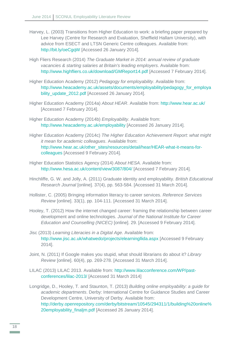- Harvey, L. (2003) Transitions from Higher Education to work: a briefing paper prepared by Lee Harvey (Centre for Research and Evaluation, Sheffield Hallam University), with advice from ESECT and LTSN Generic Centre colleagues. Available from: <http://bit.ly/oeCgqW> [Accessed 26 January 2014].
- High Fliers Research (2014) *The Graduate Market in 2014: annual review of graduate vacancies & starting salaries at Britain's leading employers*. Available from: <http://www.highfliers.co.uk/download/GMReport14.pdf> [Accessed 7 February 2014].
- Higher Education Academy (2012) *Pedagogy for employability*. Available from: [http://www.heacademy.ac.uk/assets/documents/employability/pedagogy\\_for\\_employa](http://www.heacademy.ac.uk/assets/documents/employability/pedagogy_for_employability_update_2012.pdf) [bility\\_update\\_2012.pdf](http://www.heacademy.ac.uk/assets/documents/employability/pedagogy_for_employability_update_2012.pdf) [Accessed 26 January 2014].
- Higher Education Academy (2014a) *About HEAR*. Available from:<http://www.hear.ac.uk/> [Accessed 7 February 2014].
- Higher Education Academy (2014b) *Employability*. Available from: <http://www.heacademy.ac.uk/employability> [Accessed 26 January 2014].
- Higher Education Academy (2014c) *The Higher Education Achievement Report: what might it mean for academic colleagues*. Available from: [http://www.hear.ac.uk/other\\_sites/resources/detail/hear/HEAR-what-it-means-for](http://www.hear.ac.uk/other_sites/resources/detail/hear/HEAR-what-it-means-for-colleagues)[colleagues](http://www.hear.ac.uk/other_sites/resources/detail/hear/HEAR-what-it-means-for-colleagues) [Accessed 9 February 2014].
- Higher Education Statistics Agency (2014) *About HESA*. Available from: <http://www.hesa.ac.uk/content/view/3087/804/> [Accessed 7 February 2014].
- Hinchliffe, G. W. and Jolly, A. (2011) Graduate identity and employability. *British Educational Research Journal* [online]*.* 37(4), pp. 563-584. [Accessed 31 March 2014].
- Hollister, C. (2005) Bringing information literacy to career services. *Reference Services Review* [online]. 33(1), pp. 104-111. [Accessed 31 March 2014].
- Hooley, T. (2012) How the internet changed career: framing the relationship between career development and online technologies. *Journal of the National Institute for Career Education and Counselling (NICEC)* [online]. 29. [Accessed 9 February 2014].
- Jisc (2013) *Learning Literacies in a Digital Age*. Available from: <http://www.jisc.ac.uk/whatwedo/projects/elearningllida.aspx> [Accessed 9 February 2014].
- Joint, N. (2011) If Google makes you stupid, what should librarians do about it? *Library Review* [online]. 60(4), pp. 269-278. [Accessed 31 March 2014].
- LILAC (2013) LILAC 2013. Available from: [http://www.lilacconference.com/WP/past](http://www.lilacconference.com/WP/past-conferences/lilac-2013/)[conferences/lilac-2013/](http://www.lilacconference.com/WP/past-conferences/lilac-2013/) [Accessed 31 March 2014]
- Longridge, D., Hooley, T. and Staunton, T. (2013) *Building online employability: a guide for academic departments*. Derby: International Centre for Guidance Studies and Career Development Centre, University of Derby. Available from: [http://derby.openrepository.com/derby/bitstream/10545/294311/1/building%20online%](http://derby.openrepository.com/derby/bitstream/10545/294311/1/building%20online%20employability_finaljm.pdf) 20employability\_finalim.pdf [Accessed 26 January 2014].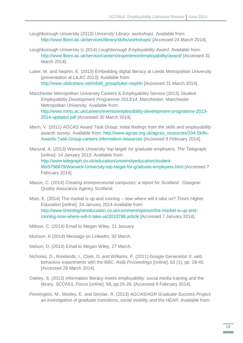- Loughborough University (2013) *University Library: workshops*. Available from: <http://www.lboro.ac.uk/services/library/skills/workshops/> [Accessed 24 March 2014].
- Loughborough University (c.2014) *Loughborough Employability Award*. Available from: <http://www.lboro.ac.uk/service/careers/experience/employability/award/> [Accessed 31 March 2014].
- Luker, W. and Nephin, E. (2013) Embedding digital literacy at Leeds Metropolitan University [presentation at LILAC 2013]. Available from: [http://www.slideshare.net/infolit\\_group/luker-nephin](http://www.slideshare.net/infolit_group/luker-nephin) [Accessed 31 March 2014].
- Manchester Metropolitan University Careers & Employability Service (2013) *Student Employability Development Programme 2013/14*. Manchester: Manchester Metropolitan University. Available from: [http://www.mmu.ac.uk/careers/events/employability-development-programme-2013-](http://www.mmu.ac.uk/careers/events/employability-development-programme-2013-2014-updated.pdf) [2014-updated.pdf](http://www.mmu.ac.uk/careers/events/employability-development-programme-2013-2014-updated.pdf) [Accessed 30 March 2014].
- Mann, V. (2011) *AGCAS Award Task Group: initial findings from the skills and employability awards survey*. Available from: [http://www.agcas.org.uk/agcas\\_resources/334-Skills-](http://www.agcas.org.uk/agcas_resources/334-Skills-Awards-Task-Group-careers-information-resources)[Awards-Task-Group-careers-information-resources](http://www.agcas.org.uk/agcas_resources/334-Skills-Awards-Task-Group-careers-information-resources) [Accessed 9 February 2014].
- Marszal, A. (2013) Warwick University 'top target' for graduate employers. *The Telegraph*  [online]. 14 January 2013. Available from: [http://www.telegraph.co.uk/education/universityeducation/student](http://www.telegraph.co.uk/education/universityeducation/student-life/9796679/Warwick-University-top-target-for-graduate-employers.html)[life/9796679/Warwick-University-top-target-for-graduate-employers.html](http://www.telegraph.co.uk/education/universityeducation/student-life/9796679/Warwick-University-top-target-for-graduate-employers.html) [Accessed 7 February 2014].
- Mason, C. (2014) *Creating entrepreneurial campuses: a report for Scotland*. Glasgow: Quality Assurance Agency Scotland.
- Mian, E. (2014) The market is up and running now where will it take us? *Times Higher Education* [online]. 24 January 2014 Available from: [http://www.timeshighereducation.co.uk/comment/opinion/the-market-is-up-and](http://www.timeshighereducation.co.uk/comment/opinion/the-market-is-up-and-running-now-where-will-it-take-us/2010786.article)[running-now-where-will-it-take-us/2010786.article](http://www.timeshighereducation.co.uk/comment/opinion/the-market-is-up-and-running-now-where-will-it-take-us/2010786.article) [Accessed 7 January 2014].
- Millson, C. (2014) Email to Megan Wiley, 21 January.
- Murison, K (2014) Message on LinkedIn, 30 March.
- Nelson, D. (2014) Email to Megan Wiley, 27 March.
- Nicholas, D., Rowlands, I., Clark, D. and Williams, P. (2011) Google Generation II: web behaviour experiments with the BBC. *Aslib Proceedings* [online]. 63 (1), pp. 28-45. [Accessed 28 March 2014].
- Oakley, S. (2013) Information literacy meets employability: social media training and the library. *SCONUL Focus* [online]. 58, pp.25-26. [Accessed 9 February 2014].
- Pennington, M., Mosley, E. and Sinclair, R. (2013) *AGCAS/AGR Graduate Success Project: an investigation of graduate transitions, social mobility and the HEAR.* Available from: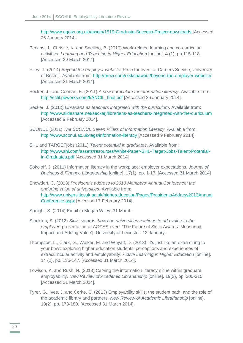<http://www.agcas.org.uk/assets/1519-Graduate-Success-Project-downloads> [Accessed 26 January 2014].

- Perkins, J., Christie, K. and Snelling, B. (2010) Work-related learning and co-curricular activities. *Learning and Teaching in Higher Education* [online]. 4 (1), pp.115-118. [Accessed 29 March 2014].
- Riley, T. (2014) *Beyond the employer website* [Prezi for event at Careers Service, University of Bristol]. Available from:<http://prezi.com/rksksnawtiut/beyond-the-employer-website/> [Accessed 31 March 2014].
- Secker, J., and Coonan, E. (2011) *A new curriculum for information literacy*. Available from: [http://ccfil.pbworks.com/f/ANCIL\\_final.pdf](http://ccfil.pbworks.com/f/ANCIL_final.pdf) [Accessed 26 January 2014].
- Secker, J. (2012) *Librarians as teachers integrated with the curriculum*. Available from: <http://www.slideshare.net/seckerj/librarians-as-teachers-integrated-with-the-curriculum> [Accessed 9 February 2014].
- SCONUL (2011) *The SCONUL Seven Pillars of Information Literacy*. Available from: [http://www.sconul.ac.uk/tags/information-literacy](http://www.sconul.ac.uk/tags/information-literacyl) [Accessed 9 February 2014].
- SHL and TARGETjobs (2011) *Talent potential in graduates*. Available from: [http://www.shl.com/assets/resources/White-Paper-SHL-Target-Jobs-Talent-Potential](http://www.shl.com/assets/resources/White-Paper-SHL-Target-Jobs-Talent-Potential-in-Graduates.pdf)[in-Graduates.pdf](http://www.shl.com/assets/resources/White-Paper-SHL-Target-Jobs-Talent-Potential-in-Graduates.pdf) [Accessed 31 March 2014]
- Sokoloff, J. (2011) Information literacy in the workplace: employer expectations. *Journal of Business & Finance Librarianship* [online]. 17(1), pp. 1-17. [Accessed 31 March 2014]
- Snowden, C. (2013) *President's address to 2013 Members' Annual Conference: the enduring value of universities*. Available from: [http://www.universitiesuk.ac.uk/highereducation/Pages/PresidentsAddress2013Annual](http://www.universitiesuk.ac.uk/highereducation/Pages/PresidentsAddress2013AnnualConference.aspx) [Conference.aspx](http://www.universitiesuk.ac.uk/highereducation/Pages/PresidentsAddress2013AnnualConference.aspx) [Accessed 7 February 2014].
- Speight, S. (2014) Email to Megan Wiley, 31 March.
- Stockton, S. (2012) *Skills awards: how can universities continue to add value to the employer* [presentation at AGCAS event 'The Future of Skills Awards: Measuring Impact and Adding Value']. University of Leicester. 12 January.
- Thompson, L., Clark, G., Walker, M. and Whyatt, D. (2013) 'It's just like an extra string to your bow': exploring higher education students' perceptions and experiences of extracurricular activity and employability. *Active Learning in Higher Education* [online]. 14 (2), pp. 135-147. [Accessed 31 March 2014].
- Towlson, K. and Rush, N. (2013) Carving the information literacy niche within graduate employability. *New Review of Academic Librarianship* [online]. 19(3), pp. 300-315. [Accessed 31 March 2014].
- Tyrer, G., Ives, J. and Corke, C. (2013) Employability skills, the student path, and the role of the academic library and partners. *New Review of Academic Librarianship* [online]. 19(2), pp. 178-189. [Accessed 31 March 2014].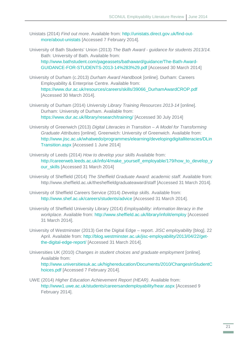- Unistats (2014) *Find out more*. Available from: [http://unistats.direct.gov.uk/find-out](http://unistats.direct.gov.uk/find-out-more/about-unistats)[more/about-unistats](http://unistats.direct.gov.uk/find-out-more/about-unistats) [Accessed 7 February 2014].
- University of Bath Students' Union (2013) *The Bath Award - guidance for students 2013/14.*  Bath: University of Bath. Available from:

[http://www.bathstudent.com/pageassets/bathaward/guidance/The-Bath-Award-](http://www.bathstudent.com/pageassets/bathaward/guidance/The-Bath-Award-GUIDANCE-FOR-STUDENTS-2013-14%283%29.pdf)[GUIDANCE-FOR-STUDENTS-2013-14%283%29.pdf](http://www.bathstudent.com/pageassets/bathaward/guidance/The-Bath-Award-GUIDANCE-FOR-STUDENTS-2013-14%283%29.pdf) [Accessed 30 March 2014]

- University of Durham (c.2013) *Durham Award Handbook* [online]. Durham: Careers Employability & Enterprise Centre. Available from: [https://www.dur.ac.uk/resources/careers/skills/39066\\_DurhamAwardCROP.pdf](https://www.dur.ac.uk/resources/careers/skills/39066_DurhamAwardCROP.pdf) [Accessed 30 March 2014].
- University of Durham (2014) *University Library Training Resources 2013-14* [online]. Durham: University of Durham. Available from: <https://www.dur.ac.uk/library/research/training/> [Accessed 30 July 2014]
- University of Greenwich (2013) *Digital Literacies in Transition – A Model for Transforming Graduate Attributes* [online]. Greenwich: University of Greenwich. Available from: [http://www.jisc.ac.uk/whatwedo/programmes/elearning/developingdigitalliteracies/DLin](http://www.jisc.ac.uk/whatwedo/programmes/elearning/developingdigitalliteracies/DLinTransition.aspx) [Transition.aspx](http://www.jisc.ac.uk/whatwedo/programmes/elearning/developingdigitalliteracies/DLinTransition.aspx) [Accessed 1 June 2014]
- University of Leeds (2014) *How to develop your skills* Available from: [http://careerweb.leeds.ac.uk/info/4/make\\_yourself\\_employable/179/how\\_to\\_develop\\_y](http://careerweb.leeds.ac.uk/info/4/make_yourself_employable/179/how_to_develop_your_skills) [our\\_skills](http://careerweb.leeds.ac.uk/info/4/make_yourself_employable/179/how_to_develop_your_skills) [Accessed 31 March 2014]
- University of Sheffield (2014) *The Sheffield Graduate Award: academic staff*. Available from: http://www.sheffield.ac.uk/thesheffieldgraduateaward/staff [Accessed 31 March 2014].
- University of Sheffield Careers Service (2014) *Develop skills*. Available from: <http://www.shef.ac.uk/careers/students/advice> [Accessed 31 March 2014].
- University of Sheffield University Library (2014) *Employability: information literacy in the workplace*. Available from:<http://www.sheffield.ac.uk/library/infolit/employ> [Accessed 31 March 2014].
- University of Westminster (2013) Get the Digital Edge report. *JISC employability* [blog]. 22 April. Available from: [http://blog.westminster.ac.uk/jisc-employability/2013/04/22/get](http://blog.westminster.ac.uk/jisc-employability/2013/04/22/get-the-digital-edge-report/)[the-digital-edge-report/](http://blog.westminster.ac.uk/jisc-employability/2013/04/22/get-the-digital-edge-report/) [Accessed 31 March 2014].

Universities UK (2010) *Changes in student choices and graduate employment* [online]. Available from: [http://www.universitiesuk.ac.uk/highereducation/Documents/2010/ChangesInStudentC](http://www.universitiesuk.ac.uk/highereducation/Documents/2010/ChangesInStudentChoices.pdf) [hoices.pdf](http://www.universitiesuk.ac.uk/highereducation/Documents/2010/ChangesInStudentChoices.pdf) [Accessed 7 February 2014].

UWE (2014) *Higher Education Achievement Report (HEAR)*. Available from: <http://www1.uwe.ac.uk/students/careersandemployability/hear.aspx> [Accessed 9 February 2014].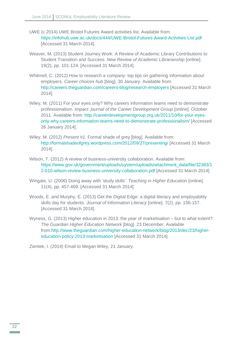- UWE (c.2014) UWE Bristol Futures Award activities list. Available from: <https://infohub.uwe.ac.uk/docs/444/UWE-Bristol-Futures-Award-Activities-List.pdf> [Accessed 31 March 2014].
- Weaver, M. (2013) Student Journey Work: A Review of Academic Library Contributions to Student Transition and Success. *New Review of Academic Librarianship* [online]. 19(2), pp. 101-124. [Accessed 31 March 2014].
- Whitmell, C. (2012) How to research a company: top tips on gathering information about employers. *Career choices hub* [blog]. 30 January. Available from: <http://careers.theguardian.com/careers-blog/research-employers> [Accessed 31 March 2014].
- Wiley, M. (2011) For your eyes only? Why careers information teams need to demonstrate professionalism. *Impact: journal of the Career Development Group* [online]. October 2011. Available from: [http://careerdevelopmentgroup.org.uk/2011/10/for-your-eyes](http://careerdevelopmentgroup.org.uk/2011/10/for-your-eyes-only-why-careers-information-teams-need-to-demonstrate-professionalism/)[only-why-careers-information-teams-need-to-demonstrate-professionalism/](http://careerdevelopmentgroup.org.uk/2011/10/for-your-eyes-only-why-careers-information-teams-need-to-demonstrate-professionalism/) [Accessed 26 January 2014].
- Wiley, M. (2012) *Present #1.* Formal shade of grey [blog]. Available from: <http://formalshadeofgrey.wordpress.com/2012/09/27/presenting/> [Accessed 31 March 2014].
- Wilson, T. (2012) A review of business-university collaboration. Available from: [https://www.gov.uk/government/uploads/system/uploads/attachment\\_data/file/32383/1](https://www.gov.uk/government/uploads/system/uploads/attachment_data/file/32383/12-610-wilson-review-business-university-collaboration.pdf) [2-610-wilson-review-business-university-collaboration.pdf](https://www.gov.uk/government/uploads/system/uploads/attachment_data/file/32383/12-610-wilson-review-business-university-collaboration.pdf) [Accessed 31 March 2014]
- Wingate, U. (2006) Doing away with 'study skills'. *Teaching in Higher Education* [online]. 11(4), pp. 457-469. [Accessed 31 March 2014]
- Woods, E. and Murphy, E. (2013) Get the Digital Edge: a digital literacy and employability skills day for students. *Journal of Information Literacy* [online]. 7(2), pp. 156-157. [Accessed 31 March 2014].
- Wyness, G. (2013) Higher education in 2013: the year of marketisation but to what extent? *The Guardian Higher Education Network* [blog]. 23 December. Available from[:http://www.theguardian.com/higher-education-network/blog/2013/dec/23/higher](http://www.theguardian.com/higher-education-network/blog/2013/dec/23/higher-education-policy-2013-marketisation)[education-policy-2013-marketisation](http://www.theguardian.com/higher-education-network/blog/2013/dec/23/higher-education-policy-2013-marketisation) [Accessed 31 March 2014].

Zientek, I. (2014) Email to Megan Wiley, 21 January.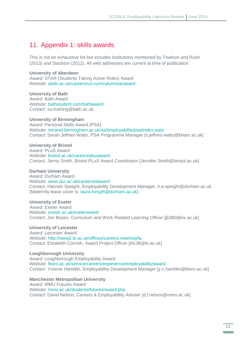### <span id="page-24-0"></span>11. Appendix 1: skills awards

This is not an exhaustive list but includes institutions mentioned by Towlson and Rush (2013) and Stockton (2012). All web addresses are current at time of publication.

#### **University of Aberdeen**

*Award*: STAR (Students Taking Active Roles) Award *Website*: [abdn.ac.uk/careers/co-curriculum/staraward](http://www.abdn.ac.uk/careers/co-curriculum/staraward/)

**University of Bath** *Award*: Bath Award *Website*: [bathstudent.com/bathaward](http://www.bathstudent.com/bathaward/) Contact: su-training@bath.ac.uk

**University of Birmingham** *Award*: Personal Skills Award (PSA) *Website*: [intranet.birmingham.ac.uk/as/employability/psa/index.aspx](https://intranet.birmingham.ac.uk/as/employability/psa/index.aspx) *Contact*: Sarah Jeffries-Watts, PSA Programme Manager [s.jeffries-watts@bham.ac.uk]

**University of Bristol** *Award*: PLuS Award *Website*: [bristol.ac.uk/careers/plusaward](http://www.bristol.ac.uk/careers/plusaward) *Contact*: Jenny Smith, Bristol PLuS Award Coordinator [Jennifer.Smith@bristol.ac.uk]

**Durham University** *Award*: Durham Award *Website*: [www.dur.ac.uk/careers/daward](https://www.dur.ac.uk/careers/daward/) *Contact*: Hannah Speight, Employability Development Manager, h.e.speight@durham.ac.uk. (Maternity leave cover is: laura*.*forsyth*@*[durham](mailto:laura.forsyth@durham.ac.uk)*.*ac.uk)

#### **University of Exeter**

*Award*: Exeter Award *Website*: [exeter.ac.uk/exeteraward](http://www.exeter.ac.uk/exeteraward/index.html) *Contact*: Jon Boyes, Curriculum and Work-Related Learning Officer [jb380@ex.ac.uk]

**University of Leicester** *Award*: Leicester Award *Website*:<http://www2.le.ac.uk/offices/careers-new/exp/la> Contact: Elizabeth Cornish, Award Project Officer [elc38@le.ac.uk]

**Loughborough University** *Award*: Loughborough Employability Award *Website*: [lboro.ac.uk/service/careers/experience/employability/award](http://www.lboro.ac.uk/service/careers/experience/employability/award/) Contact: Yvonne Hamblin, Employability Development Manager [y.c.hamblin@lboro.ac.uk]

**Manchester Metropolitan University** *Award*: MMU Futures Award *Website*: [mmu.ac.uk/students/futures/award.php](http://www.mmu.ac.uk/students/futures/award.php) *Contact*: David Nelson, Careers & Employability Adviser [d.f.nelson@mmu.ac.uk]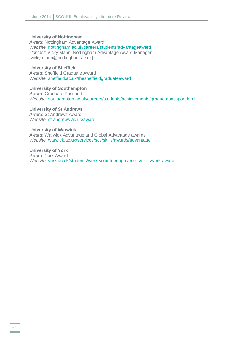#### **University of Nottingham**

*Award*: Nottingham Advantage Award

*Website*: [nottingham.ac.uk/careers/students/advantageaward](http://www.nottingham.ac.uk/careers/students/advantageaward/index.aspx) *Contact*: Vicky Mann, Nottingham Advantage Award Manager [vicky.mann@nottingham.ac.uk]

#### **University of Sheffield**

*Award*: Sheffield Graduate Award *Website*: [sheffield.ac.uk/thesheffieldgraduateaward](http://www.sheffield.ac.uk/thesheffieldgraduateaward)

**University of Southampton** *Award*: Graduate Passport *Website*: [southampton.ac.uk/careers/students/achievements/graduatepassport.html](http://www.southampton.ac.uk/careers/students/achievements/graduatepassport.html)

#### **University of St Andrews**

*Award*: St Andrews Award *Website*: [st-andrews.ac.uk/award](https://www.st-andrews.ac.uk/award/)

#### **University of Warwick**

*Award*: Warwick Advantage and Global Advantage awards *Website*: [warwick.ac.uk/services/scs/skills/awards/advantage](http://www2.warwick.ac.uk/services/scs/skills/awards/advantage/)

**University of York**  *Award*: York Award *Website*: [york.ac.uk/students/work-volunteering-careers/skills/york-award](https://www.york.ac.uk/students/work-volunteering-careers/skills/york-award/)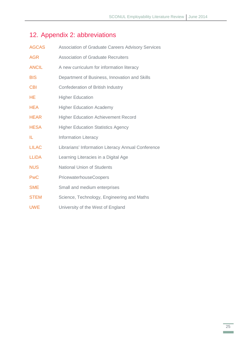# <span id="page-26-0"></span>12. Appendix 2: abbreviations

| <b>AGCAS</b> | <b>Association of Graduate Careers Advisory Services</b> |  |
|--------------|----------------------------------------------------------|--|
| <b>AGR</b>   | <b>Association of Graduate Recruiters</b>                |  |
| <b>ANCIL</b> | A new curriculum for information literacy                |  |
| <b>BIS</b>   | Department of Business, Innovation and Skills            |  |
| <b>CBI</b>   | Confederation of British Industry                        |  |
| HE           | <b>Higher Education</b>                                  |  |
| <b>HEA</b>   | <b>Higher Education Academy</b>                          |  |
| <b>HEAR</b>  | <b>Higher Education Achievement Record</b>               |  |
| <b>HESA</b>  | <b>Higher Education Statistics Agency</b>                |  |
| IL           | <b>Information Literacy</b>                              |  |
| <b>LILAC</b> | Librarians' Information Literacy Annual Conference       |  |
| <b>LLiDA</b> | Learning Literacies in a Digital Age                     |  |
| <b>NUS</b>   | <b>National Union of Students</b>                        |  |
| <b>PwC</b>   | PricewaterhouseCoopers                                   |  |
| <b>SME</b>   | Small and medium enterprises                             |  |
| <b>STEM</b>  | Science, Technology, Engineering and Maths               |  |
| <b>UWE</b>   | University of the West of England                        |  |